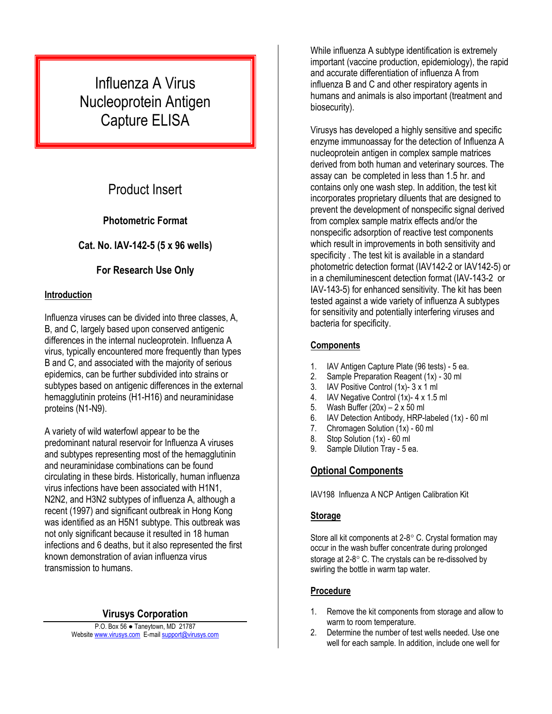# Influenza A Virus Nucleoprotein Antigen Capture ELISA

## Product Insert

#### **Photometric Format**

#### **Cat. No. IAV-142-5 (5 x 96 wells)**

### **For Research Use Only**

#### **Introduction**

Influenza viruses can be divided into three classes, A, B, and C, largely based upon conserved antigenic differences in the internal nucleoprotein. Influenza A virus, typically encountered more frequently than types B and C, and associated with the majority of serious epidemics, can be further subdivided into strains or subtypes based on antigenic differences in the external hemagglutinin proteins (H1-H16) and neuraminidase proteins (N1-N9).

A variety of wild waterfowl appear to be the predominant natural reservoir for Influenza A viruses and subtypes representing most of the hemagglutinin and neuraminidase combinations can be found circulating in these birds. Historically, human influenza virus infections have been associated with H1N1, N2N2, and H3N2 subtypes of influenza A, although a recent (1997) and significant outbreak in Hong Kong was identified as an H5N1 subtype. This outbreak was not only significant because it resulted in 18 human infections and 6 deaths, but it also represented the first known demonstration of avian influenza virus transmission to humans.

#### **Virusys Corporation**

P.O. Box 56 ● Taneytown, MD 21787 Website [www.virusys.com](http://www.virusys.com/) E-mail [support@virusys.com](mailto:support@virusys.com)

While influenza A subtype identification is extremely important (vaccine production, epidemiology), the rapid and accurate differentiation of influenza A from influenza B and C and other respiratory agents in humans and animals is also important (treatment and biosecurity).

Virusys has developed a highly sensitive and specific enzyme immunoassay for the detection of Influenza A nucleoprotein antigen in complex sample matrices derived from both human and veterinary sources. The assay can be completed in less than 1.5 hr. and contains only one wash step. In addition, the test kit incorporates proprietary diluents that are designed to prevent the development of nonspecific signal derived from complex sample matrix effects and/or the nonspecific adsorption of reactive test components which result in improvements in both sensitivity and specificity . The test kit is available in a standard photometric detection format (IAV142-2 or IAV142-5) or in a chemiluminescent detection format (IAV-143-2 or IAV-143-5) for enhanced sensitivity. The kit has been tested against a wide variety of influenza A subtypes for sensitivity and potentially interfering viruses and bacteria for specificity.

#### **Components**

- 1. IAV Antigen Capture Plate (96 tests) 5 ea.
- 2. Sample Preparation Reagent (1x) 30 ml
- 3. IAV Positive Control (1x)- 3 x 1 ml
- 4. IAV Negative Control (1x)- 4 x 1.5 ml
- 5. Wash Buffer (20x) 2 x 50 ml
- 6. IAV Detection Antibody, HRP-labeled (1x) 60 ml
- 7. Chromagen Solution (1x) 60 ml
- 8. Stop Solution (1x) 60 ml
- 9. Sample Dilution Tray 5 ea.

## **Optional Components**

IAV198 Influenza A NCP Antigen Calibration Kit

#### **Storage**

Store all kit components at  $2-8^\circ$  C. Crystal formation may occur in the wash buffer concentrate during prolonged storage at  $2-8^\circ$  C. The crystals can be re-dissolved by swirling the bottle in warm tap water.

#### **Procedure**

- 1. Remove the kit components from storage and allow to warm to room temperature.
- 2. Determine the number of test wells needed. Use one well for each sample. In addition, include one well for